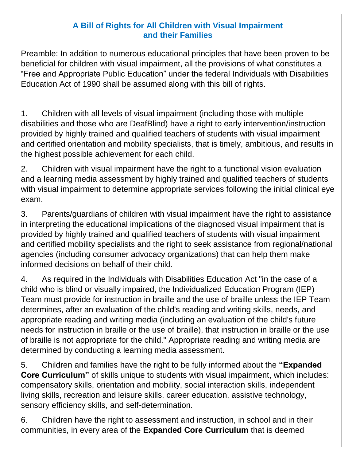## **A Bill of Rights for All Children with Visual Impairment and their Families**

 Preamble: In addition to numerous educational principles that have been proven to be beneficial for children with visual impairment, all the provisions of what constitutes a "Free and Appropriate Public Education" under the federal Individuals with Disabilities Education Act of 1990 shall be assumed along with this bill of rights.

 1. Children with all levels of visual impairment (including those with multiple disabilities and those who are DeafBlind) have a right to early intervention/instruction provided by highly trained and qualified teachers of students with visual impairment and certified orientation and mobility specialists, that is timely, ambitious, and results in the highest possible achievement for each child.

 2. Children with visual impairment have the right to a functional vision evaluation and a learning media assessment by highly trained and qualified teachers of students with visual impairment to determine appropriate services following the initial clinical eye exam.

 3. Parents/guardians of children with visual impairment have the right to assistance in interpreting the educational implications of the diagnosed visual impairment that is provided by highly trained and qualified teachers of students with visual impairment and certified mobility specialists and the right to seek assistance from regional/national agencies (including consumer advocacy organizations) that can help them make informed decisions on behalf of their child.

 $\mathbf{4}$ . child who is blind or visually impaired, the Individualized Education Program (IEP) Team must provide for instruction in braille and the use of braille unless the IEP Team determines, after an evaluation of the child's reading and writing skills, needs, and appropriate reading and writing media (including an evaluation of the child's future needs for instruction in braille or the use of braille), that instruction in braille or the use of braille is not appropriate for the child." Appropriate reading and writing media are determined by conducting a learning media assessment. 4. As required in the Individuals with Disabilities Education Act "in the case of a

 5. Children and families have the right to be fully informed about the **"Expanded Core Curriculum"** of skills unique to students with visual impairment, which includes: compensatory skills, orientation and mobility, social interaction skills, independent living skills, recreation and leisure skills, career education, assistive technology, sensory efficiency skills, and self-determination.

 6. Children have the right to assessment and instruction, in school and in their communities, in every area of the **Expanded Core Curriculum** that is deemed